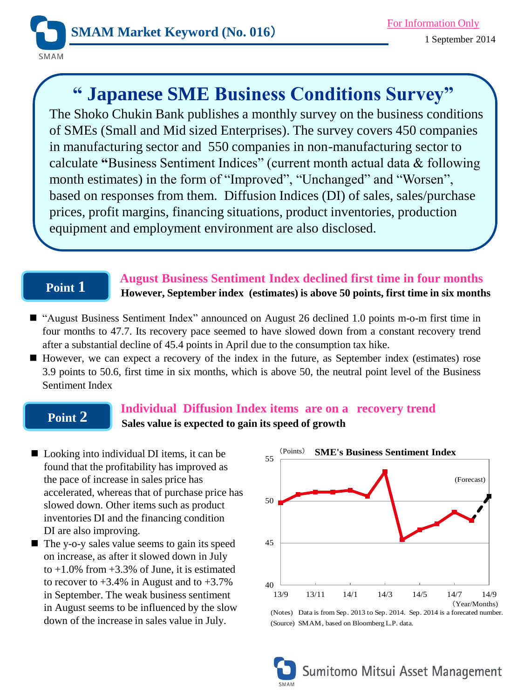

# **" Japanese SME Business Conditions Survey"**

The Shoko Chukin Bank publishes a monthly survey on the business conditions of SMEs (Small and Mid sized Enterprises). The survey covers 450 companies in manufacturing sector and 550 companies in non-manufacturing sector to calculate **"**Business Sentiment Indices" (current month actual data & following month estimates) in the form of "Improved", "Unchanged" and "Worsen", based on responses from them. Diffusion Indices (DI) of sales, sales/purchase prices, profit margins, financing situations, product inventories, production equipment and employment environment are also disclosed.

# **Point 1**

 **August Business Sentiment Index declined first time in four months However, September index (estimates) is above 50 points, first time in six months**

- "August Business Sentiment Index" announced on August 26 declined 1.0 points m-o-m first time in four months to 47.7. Its recovery pace seemed to have slowed down from a constant recovery trend after a substantial decline of 45.4 points in April due to the consumption tax hike.
- However, we can expect a recovery of the index in the future, as September index (estimates) rose 3.9 points to 50.6, first time in six months, which is above 50, the neutral point level of the Business Sentiment Index

# **Point 2**

# **Individual Diffusion Index items are on a recovery trend Sales value is expected to gain its speed of growth**

- Looking into individual DI items, it can be found that the profitability has improved as the pace of increase in sales price has accelerated, whereas that of purchase price has slowed down. Other items such as product inventories DI and the financing condition DI are also improving.
- $\blacksquare$  The y-o-y sales value seems to gain its speed on increase, as after it slowed down in July to  $+1.0\%$  from  $+3.3\%$  of June, it is estimated to recover to  $+3.4\%$  in August and to  $+3.7\%$ in September. The weak business sentiment in August seems to be influenced by the slow down of the increase in sales value in July.